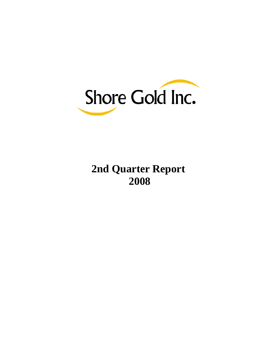

# **2nd Quarter Report 2008**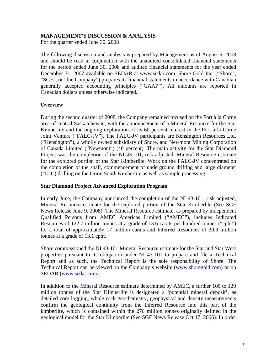# **MANAGEMENT'S DISCUSSION & ANALYSIS**

For the quarter ended June 30, 2008

The following discussion and analysis is prepared by Management as of August 6, 2008 and should be read in conjunction with the unaudited consolidated financial statements for the period ended June 30, 2008 and audited financial statements for the year ended December 31, 2007 available on SEDAR at [www.sedar.com](http://www.sedar.com/). Shore Gold Inc. ("Shore", "SGF", or "the Company") prepares its financial statements in accordance with Canadian generally accepted accounting principles ("GAAP"). All amounts are reported in Canadian dollars unless otherwise indicated.

# **Overview**

During the second quarter of 2008, the Company remained focused on the Fort à la Corne area of central Saskatchewan, with the announcement of a Mineral Resource for the Star Kimberlite and the ongoing exploration of its 60 percent interest in the Fort à la Corne Joint Venture ("FALC-JV"). The FALC-JV participants are Kensington Resources Ltd. ("Kensington"), a wholly owned subsidiary of Shore, and Newmont Mining Corporation of Canada Limited ("Newmont") (40 percent). The main activity for the Star Diamond Project was the completion of the NI 43-101, risk adjusted, Mineral Resource estimate for the explored portion of the Star Kimberlite. Work on the FALC-JV concentrated on the completion of the shaft, commencement of underground drifting and large diameter ("LD") drilling on the Orion South Kimberlite as well as sample processing.

### **Star Diamond Project Advanced Exploration Program**

In early June, the Company announced the completion of the NI 43-101, risk adjusted, Mineral Resource estimate for the explored portion of the Star Kimberlite (See SGF News Release June 9, 2008). The Mineral Resource estimate, as prepared by independent Qualified Persons from AMEC Americas Limited ("AMEC"), includes Indicated Resources of 122.7 million tonnes at a grade of 13.6 carats per hundred tonnes ("cpht") for a total of approximately 17 million carats and Inferred Resources of 30.3 million tonnes at a grade of 13.1 cpht.

Shore commissioned the NI 43-101 Mineral Resource estimate for the Star and Star West properties pursuant to its obligation under NI 43-101 to prepare and file a Technical Report and as such, the Technical Report is the sole responsibility of Shore. The Technical Report can be viewed on the Company's website ([www.shoregold.com\)](http://www.shoregold.com/) or on SEDAR [\(www.sedar.com](http://www.sedar.com/)).

In addition to the Mineral Resource estimate determined by AMEC, a further 100 to 120 million tonnes of the Star Kimberlite is designated a 'potential mineral deposit', as detailed core logging, whole rock geochemistry, geophysical and density measurements confirm the geological continuity from the Inferred Resource into this part of the kimberlite, which is contained within the 276 million tonnes originally defined in the geological model for the Star Kimberlite (See SGF News Release Oct 17, 2006). In order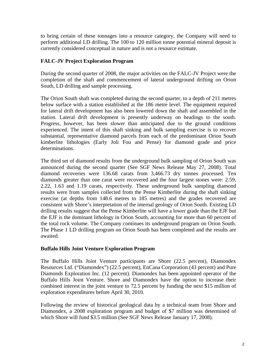to bring certain of these tonnages into a resource category, the Company will need to perform additional LD drilling. The 100 to 120 million tonne potential mineral deposit is currently considered conceptual in nature and is not a resource estimate.

# **FALC-JV Project Exploration Program**

During the second quarter of 2008, the major activities on the FALC-JV Project were the completion of the shaft and commencement of lateral underground drifting on Orion South, LD drilling and sample processing.

The Orion South shaft was completed during the second quarter, to a depth of 211 metres below surface with a station established at the 186 metre level. The equipment required for lateral drift development has also been lowered down the shaft and assembled in the station. Lateral drift development is presently underway on headings to the south. Progress, however, has been slower than anticipated due to the ground conditions experienced. The intent of this shaft sinking and bulk sampling exercise is to recover substantial, representative diamond parcels from each of the predominant Orion South kimberlite lithologies (Early Joli Fou and Pense) for diamond grade and price determinations.

The third set of diamond results from the underground bulk sampling of Orion South was announced during the second quarter (See SGF News Release May 27, 2008). Total diamond recoveries were 136.68 carats from 3,466.73 dry tonnes processed. Ten diamonds greater than one carat were recovered and the four largest stones were: 2.59, 2.22, 1.63 and 1.19 carats, respectively. These underground bulk sampling diamond results were from samples collected from the Pense Kimberlite during the shaft sinking exercise (at depths from 148.6 metres to 185 metres) and the grades recovered are consistent with Shore's interpretation of the internal geology of Orion South. Existing LD drilling results suggest that the Pense Kimberlite will have a lower grade than the EJF but the EJF is the dominant lithology in Orion South, accounting for more than 60 percent of the total rock volume. The Company continues its underground program on Orion South. The Phase 1 LD drilling program on Orion South has been completed and the results are awaited.

# **Buffalo Hills Joint Venture Exploration Program**

The Buffalo Hills Joint Venture participants are Shore (22.5 percent), Diamondex Resources Ltd. ("Diamondex") (22.5 percent), EnCana Corporation (43 percent) and Pure Diamonds Exploration Inc. (12 percent). Diamondex has been appointed operator of the Buffalo Hills Joint Venture. Shore and Diamondex have the option to increase their combined interest in the joint venture to 72.5 percent by funding the next \$15 million of exploration expenditures before April 30, 2010.

Following the review of historical geological data by a technical team from Shore and Diamondex, a 2008 exploration program and budget of \$7 million was determined of which Shore will fund \$3.5 million (See SGF News Release January 17, 2008).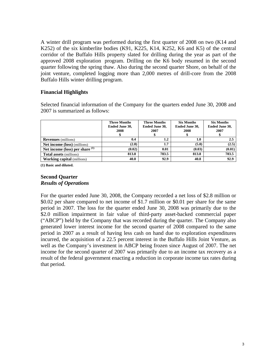A winter drill program was performed during the first quarter of 2008 on two (K14 and K252) of the six kimberlite bodies (K91, K225, K14, K252, K6 and K5) of the central corridor of the Buffalo Hills property slated for drilling during the year as part of the approved 2008 exploration program. Drilling on the K6 body resumed in the second quarter following the spring thaw. Also during the second quarter Shore, on behalf of the joint venture, completed logging more than 2,000 metres of drill-core from the 2008 Buffalo Hills winter drilling program.

# **Financial Highlights**

Selected financial information of the Company for the quarters ended June 30, 2008 and 2007 is summarized as follows:

|                                     | <b>Three Months</b><br>Ended June 30,<br>2008 | <b>Three Months</b><br>Ended June 30,<br>2007 | <b>Six Months</b><br>Ended June 30,<br>2008 | <b>Six Months</b><br>Ended June 30,<br>2007 |
|-------------------------------------|-----------------------------------------------|-----------------------------------------------|---------------------------------------------|---------------------------------------------|
| <b>Revenues</b> (millions)          | 0.4                                           | 1.2                                           | 1.0                                         | $2.5^{\circ}$                               |
| <b>Net income (loss)</b> (millions) | (2.8)                                         | 1.7                                           | (5.0)                                       | (2.5)                                       |
| Net income (loss) per share $(1)$   | (0.02)                                        | 0.01                                          | (0.03)                                      | (0.01)                                      |
| <b>Total assets</b> (millions)      | 813.8                                         | 783.5                                         | 813.8                                       | 783.5                                       |
| <b>Working capital</b> (millions)   | 40.8                                          | 92.9                                          | 40.8                                        | 92.9                                        |

**(1) Basic and diluted.** 

# **Second Quarter**  *Results of Operations*

For the quarter ended June 30, 2008, the Company recorded a net loss of \$2.8 million or \$0.02 per share compared to net income of \$1.7 million or \$0.01 per share for the same period in 2007. The loss for the quarter ended June 30, 2008 was primarily due to the \$2.0 million impairment in fair value of third-party asset-backed commercial paper ("ABCP") held by the Company that was recorded during the quarter. The Company also generated lower interest income for the second quarter of 2008 compared to the same period in 2007 as a result of having less cash on hand due to exploration expenditures incurred, the acquisition of a 22.5 percent interest in the Buffalo Hills Joint Venture, as well as the Company's investment in ABCP being frozen since August of 2007. The net income for the second quarter of 2007 was primarily due to an income tax recovery as a result of the federal government enacting a reduction in corporate income tax rates during that period.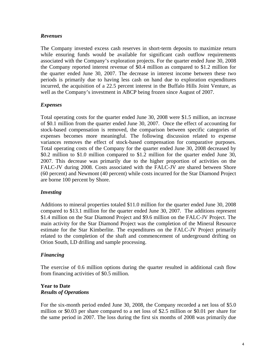# *Revenues*

The Company invested excess cash reserves in short-term deposits to maximize return while ensuring funds would be available for significant cash outflow requirements associated with the Company's exploration projects. For the quarter ended June 30, 2008 the Company reported interest revenue of \$0.4 million as compared to \$1.2 million for the quarter ended June 30, 2007. The decrease in interest income between these two periods is primarily due to having less cash on hand due to exploration expenditures incurred, the acquisition of a 22.5 percent interest in the Buffalo Hills Joint Venture, as well as the Company's investment in ABCP being frozen since August of 2007.

# *Expenses*

Total operating costs for the quarter ended June 30, 2008 were \$1.5 million, an increase of \$0.1 million from the quarter ended June 30, 2007. Once the effect of accounting for stock-based compensation is removed, the comparison between specific categories of expenses becomes more meaningful. The following discussion related to expense variances removes the effect of stock-based compensation for comparative purposes. Total operating costs of the Company for the quarter ended June 30, 2008 decreased by \$0.2 million to \$1.0 million compared to \$1.2 million for the quarter ended June 30, 2007. This decrease was primarily due to the higher proportion of activities on the FALC-JV during 2008. Costs associated with the FALC-JV are shared between Shore (60 percent) and Newmont (40 percent) while costs incurred for the Star Diamond Project are borne 100 percent by Shore.

# *Investing*

Additions to mineral properties totaled \$11.0 million for the quarter ended June 30, 2008 compared to \$13.1 million for the quarter ended June 30, 2007. The additions represent \$1.4 million on the Star Diamond Project and \$9.6 million on the FALC-JV Project. The main activity for the Star Diamond Project was the completion of the Mineral Resource estimate for the Star Kimberlite. The expenditures on the FALC-JV Project primarily related to the completion of the shaft and commencement of underground drifting on Orion South, LD drilling and sample processing.

# *Financing*

The exercise of 0.6 million options during the quarter resulted in additional cash flow from financing activities of \$0.5 million.

### **Year to Date**  *Results of Operations*

For the six-month period ended June 30, 2008, the Company recorded a net loss of \$5.0 million or \$0.03 per share compared to a net loss of \$2.5 million or \$0.01 per share for the same period in 2007. The loss during the first six months of 2008 was primarily due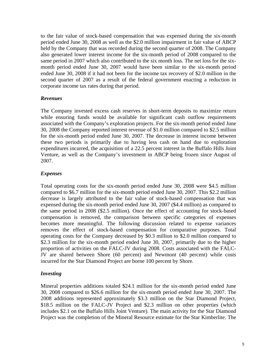to the fair value of stock-based compensation that was expensed during the six-month period ended June 30, 2008 as well as the \$2.0 million impairment in fair value of ABCP held by the Company that was recorded during the second quarter of 2008. The Company also generated lower interest income for the six-month period of 2008 compared to the same period in 2007 which also contributed to the six month loss. The net loss for the sixmonth period ended June 30, 2007 would have been similar to the six-month period ended June 30, 2008 if it had not been for the income tax recovery of \$2.0 million in the second quarter of 2007 as a result of the federal government enacting a reduction in corporate income tax rates during that period.

# *Revenues*

The Company invested excess cash reserves in short-term deposits to maximize return while ensuring funds would be available for significant cash outflow requirements associated with the Company's exploration projects. For the six-month period ended June 30, 2008 the Company reported interest revenue of \$1.0 million compared to \$2.5 million for the six-month period ended June 30, 2007. The decrease in interest income between these two periods is primarily due to having less cash on hand due to exploration expenditures incurred, the acquisition of a 22.5 percent interest in the Buffalo Hills Joint Venture, as well as the Company's investment in ABCP being frozen since August of 2007.

# *Expenses*

Total operating costs for the six-month period ended June 30, 2008 were \$4.5 million compared to \$6.7 million for the six-month period ended June 30, 2007. This \$2.2 million decrease is largely attributed to the fair value of stock-based compensation that was expensed during the six-month period ended June 30, 2007 (\$4.4 million) as compared to the same period in 2008 (\$2.5 million). Once the effect of accounting for stock-based compensation is removed, the comparison between specific categories of expenses becomes more meaningful. The following discussion related to expense variances removes the effect of stock-based compensation for comparative purposes. Total operating costs for the Company decreased by \$0.3 million to \$2.0 million compared to \$2.3 million for the six-month period ended June 30, 2007, primarily due to the higher proportion of activities on the FALC-JV during 2008. Costs associated with the FALC-JV are shared between Shore (60 percent) and Newmont (40 percent) while costs incurred for the Star Diamond Project are borne 100 percent by Shore.

### *Investing*

Mineral properties additions totaled \$24.1 million for the six-month period ended June 30, 2008 compared to \$26.6 million for the six-month period ended June 30, 2007. The 2008 additions represented approximately \$3.3 million on the Star Diamond Project, \$18.5 million on the FALC-JV Project and \$2.3 million on other properties (which includes \$2.1 on the Buffalo Hills Joint Venture). The main activity for the Star Diamond Project was the completion of the Mineral Resource estimate for the Star Kimberlite. The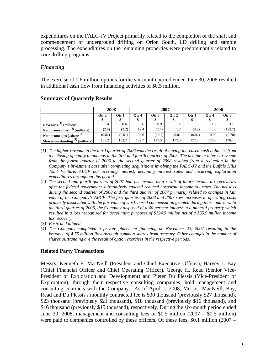expenditures on the FALC-JV Project primarily related to the completion of the shaft and commencement of underground drifting on Orion South, LD drilling and sample processing. The expenditures on the remaining properties were predominantly related to core drilling programs.

# *Financing*

The exercise of 0.6 million options for the six-month period ended June 30, 2008 resulted in additional cash flow from financing activities of \$0.5 million.

|                                                        | 2008   |            |       |        | 2007  |             | 2006  |         |
|--------------------------------------------------------|--------|------------|-------|--------|-------|-------------|-------|---------|
|                                                        | Qtr 2  | Otr 1<br>D | Qtr 4 | Otr 3  | Qtr 2 | Otr 1<br>\$ | Otr 4 | Qtr 3   |
| (millions)<br><b>Revenues</b>                          | 0.4    | 0.6        | 0.6   | 0.9    | 1.2   | 1.3         | 1.7   | 3.1     |
| Net income (loss)<br>(millions)                        | (2.8)  | (2.2)      | 12.4  | (2.4)  | 1.7   | (4.2)       | (0.8) | (122.7) |
| Net income $(\text{loss})/\text{share}$ <sup>(3)</sup> | (0.02) | (0.01)     | 0.06  | (0.01) | 0.01  | (0.02)      | 0.00  | (0.70)  |
| (4)<br><b>Shares outstanding</b><br>(millions)         | 183.2  | 182.7      | 182.7 | 177.5  | 177.3 | 177.3       | 176.8 | 176.4   |

# **Summary of Quarterly Results**

- *(1) The higher revenue in the third quarter of 2006 was the result of having increased cash balances from the closing of equity financings in the first and fourth quarters of 2005. The decline in interest revenue from the fourth quarter of 2006 to the second quarter of 2008 resulted from a reduction in the Company's investment base after completing acquisitions involving the FALC-JV and the Buffalo Hills Joint Venture, ABCP not accruing interest, declining interest rates and incurring exploration expenditures throughout this period.*
- *(2) The second and fourth quarters of 2007 had net income as a result of future income tax recoveries after the federal government substantively enacted reduced corporate income tax rates. The net loss during the second quarter of 2008 and the third quarter of 2007 primarily related to changes in fair value of the Company's ABCP. The first quarters of 2008 and 2007 saw increases in operating costs primarily associated with the fair value of stock-based compensation granted during those quarters. In the third quarter of 2006, the Company disposed of a 40 percent interest in a mineral property which resulted in a loss recognized for accounting purposes of \$124.5 million net of a \$55.9 million income tax recovery.*
- *(3) Basic and diluted.*
- *(4) The Company completed a private placement financing on November 23, 2007 resulting in the issuance of 4.76 million flow-through common shares from treasury. Other changes in the number of shares outstanding are the result of option exercises in the respective periods.*

# **Related Party Transactions**

Messrs. Kenneth E. MacNeill (President and Chief Executive Officer), Harvey J. Bay (Chief Financial Officer and Chief Operating Officer), George H. Read (Senior Vice-President of Exploration and Development) and Pieter Du Plessis (Vice-President of Exploration), through their respective consulting companies, hold management and consulting contracts with the Company. As of April 1, 2008, Messrs. MacNeill, Bay, Read and Du Plessis's monthly contracted fee is \$30 thousand (previously \$27 thousand), \$23 thousand (previously \$21 thousand), \$18 thousand (previously \$16 thousand), and \$16 thousand (previously \$15 thousand), respectively. During the six-month period ended June 30, 2008, management and consulting fees of \$0.5 million (2007 – \$0.5 million) were paid to companies controlled by these officers. Of these fees, \$0.1 million (2007 –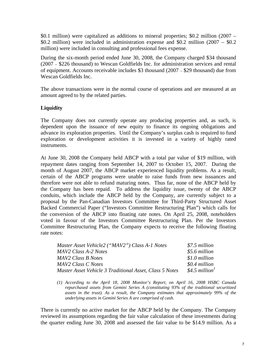\$0.1 million) were capitalized as additions to mineral properties; \$0.2 million (2007 – \$0.2 million) were included in administration expense and \$0.2 million (2007 – \$0.2 million) were included in consulting and professional fees expense.

During the six-month period ended June 30, 2008, the Company charged \$34 thousand (2007 – \$226 thousand) to Wescan Goldfields Inc. for administration services and rental of equipment. Accounts receivable includes \$3 thousand (2007 – \$29 thousand) due from Wescan Goldfields Inc.

The above transactions were in the normal course of operations and are measured at an amount agreed to by the related parties.

# **Liquidity**

The Company does not currently operate any producing properties and, as such, is dependent upon the issuance of new equity to finance its ongoing obligations and advance its exploration properties. Until the Company's surplus cash is required to fund exploration or development activities it is invested in a variety of highly rated instruments.

At June 30, 2008 the Company held ABCP with a total par value of \$19 million, with repayment dates ranging from September 14, 2007 to October 15, 2007. During the month of August 2007, the ABCP market experienced liquidity problems. As a result, certain of the ABCP programs were unable to raise funds from new issuances and therefore were not able to refund maturing notes. Thus far, none of the ABCP held by the Company has been repaid. To address the liquidity issue, twenty of the ABCP conduits, which include the ABCP held by the Company, are currently subject to a proposal by the Pan-Canadian Investors Committee for Third-Party Structured Asset Backed Commercial Paper ("Investors Committee Restructuring Plan") which calls for the conversion of the ABCP into floating rate notes. On April 25, 2008, noteholders voted in favour of the Investors Committee Restructuring Plan. Per the Investors Committee Restructuring Plan, the Company expects to receive the following floating rate notes:

| Master Asset Vehicle2 ("MAV2") Class A-1 Notes          | \$7.5 million              |
|---------------------------------------------------------|----------------------------|
| MAV2 Class A-2 Notes                                    | \$5.6 million              |
| MAV2 Class B Notes                                      | \$1.0 million              |
| MAV2 Class C Notes                                      | \$0.4 million              |
| Master Asset Vehicle 3 Traditional Asset, Class 5 Notes | \$4.5 million <sup>1</sup> |

*(1) According to the April 18, 2008 Monitor's Report, on April 16, 2008 HSBC Canada repurchased assets from Gemini Series A (constituting 93% of the traditional securitized assets in the trust). As a result, the Company estimates that approximately 99% of the underlying assets in Gemini Series A are comprised of cash.*

There is currently no active market for the ABCP held by the Company. The Company reviewed its assumptions regarding the fair value calculation of these investments during the quarter ending June 30, 2008 and assessed the fair value to be \$14.9 million. As a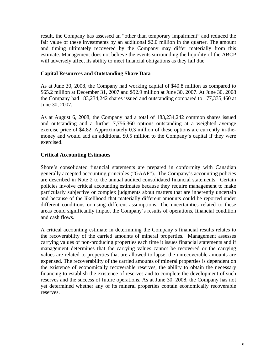result, the Company has assessed an "other than temporary impairment" and reduced the fair value of these investments by an additional \$2.0 million in the quarter. The amount and timing ultimately recovered by the Company may differ materially from this estimate. Management does not believe the events surrounding the liquidity of the ABCP will adversely affect its ability to meet financial obligations as they fall due.

# **Capital Resources and Outstanding Share Data**

As at June 30, 2008, the Company had working capital of \$40.8 million as compared to \$65.2 million at December 31, 2007 and \$92.9 million at June 30, 2007. At June 30, 2008 the Company had 183,234,242 shares issued and outstanding compared to 177,335,460 at June 30, 2007.

As at August 6, 2008, the Company had a total of 183,234,242 common shares issued and outstanding and a further 7,756,360 options outstanding at a weighted average exercise price of \$4.82. Approximately 0.3 million of these options are currently in-themoney and would add an additional \$0.5 million to the Company's capital if they were exercised.

# **Critical Accounting Estimates**

Shore's consolidated financial statements are prepared in conformity with Canadian generally accepted accounting principles ("GAAP"). The Company's accounting policies are described in Note 2 to the annual audited consolidated financial statements. Certain policies involve critical accounting estimates because they require management to make particularly subjective or complex judgments about matters that are inherently uncertain and because of the likelihood that materially different amounts could be reported under different conditions or using different assumptions. The uncertainties related to these areas could significantly impact the Company's results of operations, financial condition and cash flows.

A critical accounting estimate in determining the Company's financial results relates to the recoverability of the carried amounts of mineral properties. Management assesses carrying values of non-producing properties each time it issues financial statements and if management determines that the carrying values cannot be recovered or the carrying values are related to properties that are allowed to lapse, the unrecoverable amounts are expensed. The recoverability of the carried amounts of mineral properties is dependent on the existence of economically recoverable reserves, the ability to obtain the necessary financing to establish the existence of reserves and to complete the development of such reserves and the success of future operations. As at June 30, 2008, the Company has not yet determined whether any of its mineral properties contain economically recoverable reserves.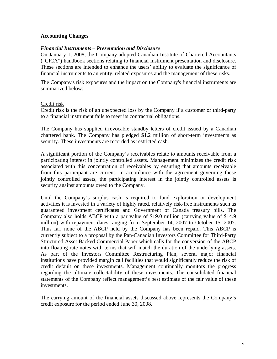# **Accounting Changes**

### *Financial Instruments – Presentation and Disclosure*

On January 1, 2008, the Company adopted Canadian Institute of Chartered Accountants ("CICA") handbook sections relating to financial instrument presentation and disclosure. These sections are intended to enhance the users' ability to evaluate the significance of financial instruments to an entity, related exposures and the management of these risks.

The Company's risk exposures and the impact on the Company's financial instruments are summarized below:

### Credit risk

Credit risk is the risk of an unexpected loss by the Company if a customer or third-party to a financial instrument fails to meet its contractual obligations.

The Company has supplied irrevocable standby letters of credit issued by a Canadian chartered bank. The Company has pledged \$1.2 million of short-term investments as security. These investments are recorded as restricted cash.

A significant portion of the Company's receivables relate to amounts receivable from a participating interest in jointly controlled assets. Management minimizes the credit risk associated with this concentration of receivables by ensuring that amounts receivable from this participant are current. In accordance with the agreement governing these jointly controlled assets, the participating interest in the jointly controlled assets is security against amounts owed to the Company.

Until the Company's surplus cash is required to fund exploration or development activities it is invested in a variety of highly rated, relatively risk-free instruments such as guaranteed investment certificates and Government of Canada treasury bills. The Company also holds ABCP with a par value of \$19.0 million (carrying value of \$14.9 million) with repayment dates ranging from September 14, 2007 to October 15, 2007. Thus far, none of the ABCP held by the Company has been repaid. This ABCP is currently subject to a proposal by the Pan-Canadian Investors Committee for Third-Party Structured Asset Backed Commercial Paper which calls for the conversion of the ABCP into floating rate notes with terms that will match the duration of the underlying assets. As part of the Investors Committee Restructuring Plan, several major financial institutions have provided margin call facilities that would significantly reduce the risk of credit default on these investments. Management continually monitors the progress regarding the ultimate collectability of these investments. The consolidated financial statements of the Company reflect management's best estimate of the fair value of these investments.

The carrying amount of the financial assets discussed above represents the Company's credit exposure for the period ended June 30, 2008.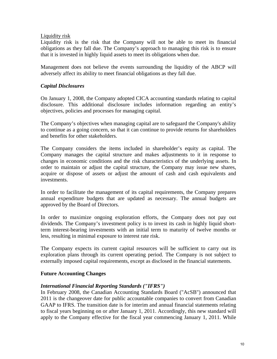# Liquidity risk

Liquidity risk is the risk that the Company will not be able to meet its financial obligations as they fall due. The Company's approach to managing this risk is to ensure that it is invested in highly liquid assets to meet its obligations when due.

Management does not believe the events surrounding the liquidity of the ABCP will adversely affect its ability to meet financial obligations as they fall due.

# *Capital Disclosures*

On January 1, 2008, the Company adopted CICA accounting standards relating to capital disclosure. This additional disclosure includes information regarding an entity's objectives, policies and processes for managing capital.

The Company's objectives when managing capital are to safeguard the Company's ability to continue as a going concern, so that it can continue to provide returns for shareholders and benefits for other stakeholders.

The Company considers the items included in shareholder's equity as capital. The Company manages the capital structure and makes adjustments to it in response to changes in economic conditions and the risk characteristics of the underlying assets. In order to maintain or adjust the capital structure, the Company may issue new shares, acquire or dispose of assets or adjust the amount of cash and cash equivalents and investments.

In order to facilitate the management of its capital requirements, the Company prepares annual expenditure budgets that are updated as necessary. The annual budgets are approved by the Board of Directors.

In order to maximize ongoing exploration efforts, the Company does not pay out dividends. The Company's investment policy is to invest its cash in highly liquid shortterm interest-bearing investments with an initial term to maturity of twelve months or less, resulting in minimal exposure to interest rate risk.

The Company expects its current capital resources will be sufficient to carry out its exploration plans through its current operating period. The Company is not subject to externally imposed capital requirements, except as disclosed in the financial statements.

# **Future Accounting Changes**

# *International Financial Reporting Standards ("IFRS")*

In February 2008, the Canadian Accounting Standards Board ("AcSB") announced that 2011 is the changeover date for public accountable companies to convert from Canadian GAAP to IFRS. The transition date is for interim and annual financial statements relating to fiscal years beginning on or after January 1, 2011. Accordingly, this new standard will apply to the Company effective for the fiscal year commencing January 1, 2011. While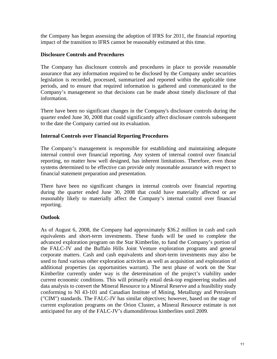the Company has begun assessing the adoption of IFRS for 2011, the financial reporting impact of the transition to IFRS cannot be reasonably estimated at this time.

# **Disclosure Controls and Procedures**

The Company has disclosure controls and procedures in place to provide reasonable assurance that any information required to be disclosed by the Company under securities legislation is recorded, processed, summarized and reported within the applicable time periods, and to ensure that required information is gathered and communicated to the Company's management so that decisions can be made about timely disclosure of that information.

There have been no significant changes in the Company's disclosure controls during the quarter ended June 30, 2008 that could significantly affect disclosure controls subsequent to the date the Company carried out its evaluation.

# **Internal Controls over Financial Reporting Procedures**

The Company's management is responsible for establishing and maintaining adequate internal control over financial reporting. Any system of internal control over financial reporting, no matter how well designed, has inherent limitations. Therefore, even those systems determined to be effective can provide only reasonable assurance with respect to financial statement preparation and presentation.

There have been no significant changes in internal controls over financial reporting during the quarter ended June 30, 2008 that could have materially affected or are reasonably likely to materially affect the Company's internal control over financial reporting.

# **Outlook**

As of August 6, 2008, the Company had approximately \$36.2 million in cash and cash equivalents and short-term investments. These funds will be used to complete the advanced exploration program on the Star Kimberlite, to fund the Company's portion of the FALC-JV and the Buffalo Hills Joint Venture exploration programs and general corporate matters. Cash and cash equivalents and short-term investments may also be used to fund various other exploration activities as well as acquisition and exploration of additional properties (as opportunities warrant). The next phase of work on the Star Kimberlite currently under way is the determination of the project's viability under current economic conditions. This will primarily entail desk-top engineering studies and data analysis to convert the Mineral Resource to a Mineral Reserve and a feasibility study conforming to NI 43-101 and Canadian Institute of Mining, Metallurgy and Petroleum ("CIM") standards. The FALC-JV has similar objectives; however, based on the stage of current exploration programs on the Orion Cluster, a Mineral Resource estimate is not anticipated for any of the FALC-JV's diamondiferous kimberlites until 2009.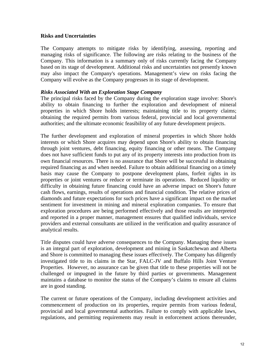### **Risks and Uncertainties**

The Company attempts to mitigate risks by identifying, assessing, reporting and managing risks of significance. The following are risks relating to the business of the Company. This information is a summary only of risks currently facing the Company based on its stage of development. Additional risks and uncertainties not presently known may also impact the Company's operations. Management's view on risks facing the Company will evolve as the Company progresses in its stage of development.

### *Risks Associated With an Exploration Stage Company*

The principal risks faced by the Company during the exploration stage involve: Shore's ability to obtain financing to further the exploration and development of mineral properties in which Shore holds interests; maintaining title to its property claims; obtaining the required permits from various federal, provincial and local governmental authorities; and the ultimate economic feasibility of any future development projects.

The further development and exploration of mineral properties in which Shore holds interests or which Shore acquires may depend upon Shore's ability to obtain financing through joint ventures, debt financing, equity financing or other means. The Company does not have sufficient funds to put any of its property interests into production from its own financial resources. There is no assurance that Shore will be successful in obtaining required financing as and when needed. Failure to obtain additional financing on a timely basis may cause the Company to postpone development plans, forfeit rights in its properties or joint ventures or reduce or terminate its operations. Reduced liquidity or difficulty in obtaining future financing could have an adverse impact on Shore's future cash flows, earnings, results of operations and financial condition. The relative prices of diamonds and future expectations for such prices have a significant impact on the market sentiment for investment in mining and mineral exploration companies. To ensure that exploration procedures are being performed effectively and those results are interpreted and reported in a proper manner, management ensures that qualified individuals, service providers and external consultants are utilized in the verification and quality assurance of analytical results.

Title disputes could have adverse consequences to the Company. Managing these issues is an integral part of exploration, development and mining in Saskatchewan and Alberta and Shore is committed to managing these issues effectively. The Company has diligently investigated title to its claims in the Star, FALC-JV and Buffalo Hills Joint Venture Properties. However, no assurance can be given that title to these properties will not be challenged or impugned in the future by third parties or governments. Management maintains a database to monitor the status of the Company's claims to ensure all claims are in good standing.

The current or future operations of the Company, including development activities and commencement of production on its properties, require permits from various federal, provincial and local governmental authorities. Failure to comply with applicable laws, regulations, and permitting requirements may result in enforcement actions thereunder,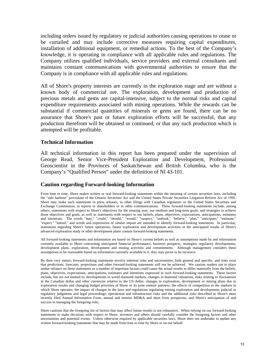including orders issued by regulatory or judicial authorities causing operations to cease or be curtailed and may include corrective measures requiring capital expenditures, installation of additional equipment, or remedial actions. To the best of the Company's knowledge, it is operating in compliance with all applicable rules and regulations. The Company utilizes qualified individuals, service providers and external consultants and maintains constant communications with governmental authorities to ensure that the Company is in compliance with all applicable rules and regulations.

All of Shore's property interests are currently in the exploration stage and are without a known body of commercial ore. The exploration, development and production of precious metals and gems are capital-intensive, subject to the normal risks and capital expenditure requirements associated with mining operations. While the rewards can be substantial if commercial quantities of minerals or gems are found, there can be no assurance that Shore's past or future exploration efforts will be successful, that any production therefrom will be obtained or continued, or that any such production which is attempted will be profitable.

### **Technical Information**

All technical information in this report has been prepared under the supervision of George Read, Senior Vice-President Exploration and Development, Professional Geoscientist in the Provinces of Saskatchewan and British Columbia, who is the Company's "Qualified Person" under the definition of NI 43-101.

### **Caution regarding Forward-looking Information**

From time to time, Shore makes written or oral forward-looking statements within the meaning of certain securities laws, including the "safe harbour" provisions of the Ontario Securities Act and the United States Private Securities Litigation Reform Act of 1995. Shore may make such statements in press releases, in other filings with Canadian regulators or the United States Securities and Exchange Commission, in reports to shareholders or in other communications. These forward-looking statements include, among others, statements with respect to Shore's objectives for the ensuing year, our medium and long-term goals, and strategies to achieve those objectives and goals, as well as statements with respect to our beliefs, plans, objectives, expectations, anticipations, estimates and intentions. The words "may," "could," "should," "would," "suspect," "outlook," "believe," "plan," "anticipate," "estimate," "expect," "intend," and words and expressions of similar import are intended to identify forward-looking statements. In particular, statements regarding Shore's future operations, future exploration and development activities or the anticipated results of Shore's advanced exploration study or other development plans contain forward-looking statements.

All forward-looking statements and information are based on Shore's current beliefs as well as assumptions made by and information currently available to Shore concerning anticipated financial performance, business prospects, strategies, regulatory developments, development plans, exploration, development and mining activities and commitments. Although management considers these assumptions to be reasonable based on information currently available to it, they may prove to be incorrect.

By their very nature, forward-looking statements involve inherent risks and uncertainties, both general and specific, and risks exist that predictions, forecasts, projections and other forward-looking statements will not be achieved. We caution readers not to place undue reliance on these statements as a number of important factors could cause the actual results to differ materially from the beliefs, plans, objectives, expectations, anticipations, estimates and intentions expressed in such forward-looking statements. These factors include, but are not limited to, developments in world diamond markets, changes in diamond valuations, risks relating to fluctuations in the Canadian dollar and other currencies relative to the US dollar, changes in exploration, development or mining plans due to exploration results and changing budget priorities of Shore or its joint venture partners; the effects of competition in the markets in which Shore operates; the impact of changes in the laws and regulations regulating mining exploration and development; judicial or regulatory judgments and legal proceedings; operational and infrastructure risks and the additional risks described in Shore's most recently filed Annual Information Form, annual and interim MD&A and short form prospectus, and Shore's anticipation of and success in managing the foregoing risks.

Shore cautions that the foregoing list of factors that may affect future results is not exhaustive. When relying on our forward-looking statements to make decisions with respect to Shore, investors and others should carefully consider the foregoing factors and other uncertainties and potential events. Unless otherwise required by applicable securities laws, Shore does not undertake to update any written forward-looking statements that may be made from time to time by Shore or on our behalf.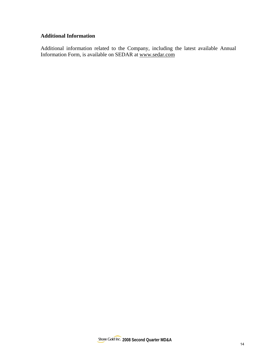# **Additional Information**

Additional information related to the Company, including the latest available Annual Information Form, is available on SEDAR at www.sedar.com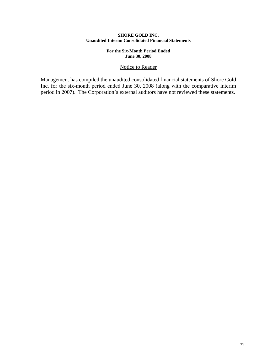### **SHORE GOLD INC. Unaudited Interim Consolidated Financial Statements**

### **For the Six-Month Period Ended June 30, 2008**

### Notice to Reader

Management has compiled the unaudited consolidated financial statements of Shore Gold Inc. for the six-month period ended June 30, 2008 (along with the comparative interim period in 2007). The Corporation's external auditors have not reviewed these statements.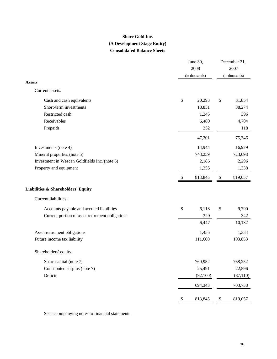# **Consolidated Balance Sheets Shore Gold Inc. (A Development Stage Entity)**

|                                                 |                           | June 30,<br>2008<br>(in thousands) |                   |           |
|-------------------------------------------------|---------------------------|------------------------------------|-------------------|-----------|
| <b>Assets</b>                                   |                           |                                    | (in thousands)    |           |
| Current assets:                                 |                           |                                    |                   |           |
| Cash and cash equivalents                       | \$                        | 20,293                             | \$                | 31,854    |
| Short-term investments                          |                           | 18,851                             |                   | 38,274    |
| Restricted cash                                 |                           | 1,245                              |                   | 396       |
| Receivables                                     |                           | 6,460                              |                   | 4,704     |
| Prepaids                                        |                           | 352                                |                   | 118       |
|                                                 |                           | 47,201                             |                   | 75,346    |
| Investments (note 4)                            |                           | 14,944                             |                   | 16,979    |
| Mineral properties (note 5)                     |                           | 748,259                            |                   | 723,098   |
| Investment in Wescan Goldfields Inc. (note 6)   |                           | 2,186                              |                   | 2,296     |
| Property and equipment                          |                           | 1,255                              |                   | 1,338     |
|                                                 | $\boldsymbol{\mathsf{S}}$ | 813,845                            | \$                | 819,057   |
| <b>Liabilities &amp; Shareholders' Equity</b>   |                           |                                    |                   |           |
| Current liabilities:                            |                           |                                    |                   |           |
| Accounts payable and accrued liabilities        | \$                        | 6,118                              | \$                | 9,790     |
| Current portion of asset retirement obligations |                           | 329                                |                   | 342       |
|                                                 |                           | 6,447                              |                   | 10,132    |
| Asset retirement obligations                    |                           | 1,455                              |                   | 1,334     |
| Future income tax liability                     |                           | 111,600                            |                   | 103,853   |
| Shareholders' equity:                           |                           |                                    |                   |           |
| Share capital (note 7)                          |                           | 760,952                            |                   | 768,252   |
| Contributed surplus (note 7)                    |                           | 25,491                             |                   | 22,596    |
| Deficit                                         |                           | (92, 100)                          |                   | (87, 110) |
|                                                 |                           | 694,343                            |                   | 703,738   |
|                                                 | $\mathbb{S}$              | 813,845                            | $\boldsymbol{\$}$ | 819,057   |

See accompanying notes to financial statements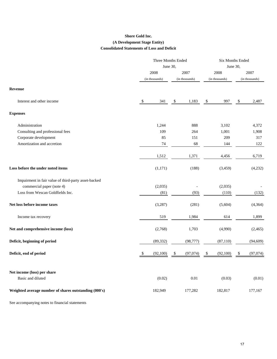### **Shore Gold Inc. (A Development Stage Entity) Consolidated Statements of Loss and Deficit**

|                                                       | Three Months Ended<br>June 30, |                | <b>Six Months Ended</b><br>June 30, |    |                |    |                |
|-------------------------------------------------------|--------------------------------|----------------|-------------------------------------|----|----------------|----|----------------|
|                                                       | 2008                           |                | 2007                                |    | 2008           |    | 2007           |
|                                                       |                                | (in thousands) | (in thousands)                      |    | (in thousands) |    | (in thousands) |
| <b>Revenue</b>                                        |                                |                |                                     |    |                |    |                |
| Interest and other income                             | \$                             | 341            | \$<br>1,183                         | \$ | 997            | \$ | 2,487          |
| <b>Expenses</b>                                       |                                |                |                                     |    |                |    |                |
| Administration                                        |                                | 1,244          | 888                                 |    | 3,102          |    | 4,372          |
| Consulting and professional fees                      |                                | 109            | 264                                 |    | 1,001          |    | 1,908          |
| Corporate development                                 |                                | 85             | 151                                 |    | 209            |    | 317            |
| Amortization and accretion                            |                                | 74             | 68                                  |    | 144            |    | 122            |
|                                                       |                                | 1,512          | 1,371                               |    | 4,456          |    | 6,719          |
| Loss before the under noted items                     |                                | (1,171)        | (188)                               |    | (3,459)        |    | (4,232)        |
| Impairment in fair value of third-party asset-backed  |                                |                |                                     |    |                |    |                |
| commercial paper (note 4)                             |                                | (2,035)        |                                     |    | (2,035)        |    |                |
| Loss from Wescan Goldfields Inc.                      |                                | (81)           | (93)                                |    | (110)          |    | (132)          |
| Net loss before income taxes                          |                                | (3,287)        | (281)                               |    | (5,604)        |    | (4, 364)       |
| Income tax recovery                                   |                                | 519            | 1,984                               |    | 614            |    | 1,899          |
| Net and comprehensive income (loss)                   |                                | (2,768)        | 1,703                               |    | (4,990)        |    | (2,465)        |
| Deficit, beginning of period                          |                                | (89, 332)      | (98, 777)                           |    | (87, 110)      |    | (94, 609)      |
| Deficit, end of period                                | \$                             | (92,100)       | \$<br>(97,074)                      | \$ | (92,100)       | \$ | (97,074)       |
| Net income (loss) per share                           |                                |                |                                     |    |                |    |                |
| Basic and diluted                                     |                                | (0.02)         | 0.01                                |    | (0.03)         |    | (0.01)         |
| Weighted average number of shares outstanding (000's) |                                | 182,949        | 177,282                             |    | 182,817        |    | 177,167        |

See accompanying notes to financial statements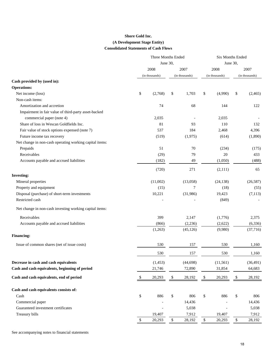### **Shore Gold Inc. (A Development Stage Entity) Consolidated Statements of Cash Flows**

|                                                         | Three Months Ended |                |              | <b>Six Months Ended</b> |              |                |              |                |
|---------------------------------------------------------|--------------------|----------------|--------------|-------------------------|--------------|----------------|--------------|----------------|
|                                                         |                    | June 30,       |              |                         | June 30,     |                |              |                |
|                                                         |                    | 2008           |              | 2007                    |              | 2008           |              | 2007           |
|                                                         |                    | (in thousands) |              | (in thousands)          |              | (in thousands) |              | (in thousands) |
| Cash provided by (used in):                             |                    |                |              |                         |              |                |              |                |
| <b>Operations:</b>                                      |                    |                |              |                         |              |                |              |                |
| Net income (loss)                                       | \$                 | (2,768)        | \$           | 1,703                   | \$           | (4,990)        | \$           | (2, 465)       |
| Non-cash items:                                         |                    |                |              |                         |              |                |              |                |
| Amortization and accretion                              |                    | 74             |              | 68                      |              | 144            |              | 122            |
| Impairment in fair value of third-party asset-backed    |                    |                |              |                         |              |                |              |                |
| commercial paper (note 4)                               |                    | 2,035          |              |                         |              | 2,035          |              |                |
| Share of loss in Wescan Goldfields Inc.                 |                    | 81             |              | 93                      |              | 110            |              | 132            |
| Fair value of stock options expensed (note 7)           |                    | 537            |              | 184                     |              | 2,468          |              | 4,396          |
| Future income tax recovery                              |                    | (519)          |              | (1,975)                 |              | (614)          |              | (1,890)        |
| Net change in non-cash operating working capital items: |                    |                |              |                         |              |                |              |                |
| Prepaids                                                |                    | 51             |              | 70                      |              | (234)          |              | (175)          |
| Receivables                                             |                    | (29)           |              | 79                      |              | 20             |              | 433            |
| Accounts payable and accrued liabilities                |                    | (182)          |              | 49                      |              | (1,050)        |              | (488)          |
|                                                         |                    | (720)          |              | 271                     |              | (2,111)        |              | 65             |
| <b>Investing:</b>                                       |                    |                |              |                         |              |                |              |                |
| Mineral properties                                      |                    | (11,002)       |              | (13,058)                |              | (24, 138)      |              | (26, 587)      |
| Property and equipment                                  |                    | (15)           |              | 7                       |              | (18)           |              | (55)           |
| Disposal (purchase) of short-term investments           |                    | 10,221         |              | (31,986)                |              | 19,423         |              | (7, 113)       |
| Restricted cash                                         |                    |                |              |                         |              | (849)          |              |                |
| Net change in non-cash investing working capital items: |                    |                |              |                         |              |                |              |                |
| Receivables                                             |                    | 399            |              | 2,147                   |              | (1,776)        |              | 2,375          |
| Accounts payable and accrued liabilities                |                    | (866)          |              | (2,236)                 |              | (2,622)        |              | (6, 336)       |
|                                                         |                    | (1,263)        |              | (45, 126)               |              | (9,980)        |              | (37,716)       |
| <b>Financing:</b>                                       |                    |                |              |                         |              |                |              |                |
| Issue of common shares (net of issue costs)             |                    | 530            |              | 157                     |              | 530            |              | 1,160          |
|                                                         |                    | 530            |              | 157                     |              | 530            |              | 1,160          |
| Decrease in cash and cash equivalents                   |                    | (1, 453)       |              | (44, 698)               |              | (11, 561)      |              | (36, 491)      |
| Cash and cash equivalents, beginning of period          |                    | 21,746         |              | 72,890                  |              | 31,854         |              | 64,683         |
| Cash and cash equivalents, end of period                | $\mathbb{S}$       | 20,293         | $\$$         | 28,192                  | $\$$         | 20,293         | \$           | 28,192         |
|                                                         |                    |                |              |                         |              |                |              |                |
| Cash and cash equivalents consists of:                  |                    |                |              |                         |              |                |              |                |
| Cash                                                    | $\mathbb{S}$       | 886            | \$           | 806                     | $\mathbb{S}$ | 886            | $\mathbb S$  | 806            |
| Commercial paper                                        |                    |                |              | 14,436                  |              |                |              | 14,436         |
| Guaranteed investment certificates                      |                    |                |              | 5,038                   |              |                |              | 5,038          |
| Treasury bills                                          |                    | 19,407         |              | 7,912                   |              | 19,407         |              | 7,912          |
|                                                         | $\$$               | 20,293         | $\mathbb{S}$ | 28,192                  | $\mathbb{S}$ | 20,293         | $\mathbb{S}$ | 28,192         |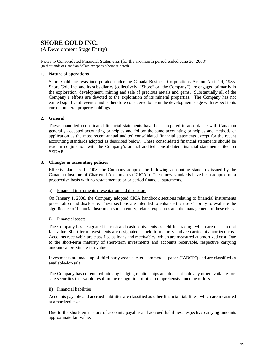# **SHORE GOLD INC.**

### (A Development Stage Entity)

Notes to Consolidated Financial Statements (for the six-month period ended June 30, 2008) (In thousands of Canadian dollars except as otherwise noted)

### **1. Nature of operations**

Shore Gold Inc. was incorporated under the Canada Business Corporations Act on April 29, 1985. Shore Gold Inc. and its subsidiaries (collectively, "Shore" or "the Company") are engaged primarily in the exploration, development, mining and sale of precious metals and gems. Substantially all of the Company's efforts are devoted to the exploration of its mineral properties. The Company has not earned significant revenue and is therefore considered to be in the development stage with respect to its current mineral property holdings.

### **2. General**

These unaudited consolidated financial statements have been prepared in accordance with Canadian generally accepted accounting principles and follow the same accounting principles and methods of application as the most recent annual audited consolidated financial statements except for the recent accounting standards adopted as described below. These consolidated financial statements should be read in conjunction with the Company's annual audited consolidated financial statements filed on SEDAR.

### **3. Changes in accounting policies**

Effective January 1, 2008, the Company adopted the following accounting standards issued by the Canadian Institute of Chartered Accountants ("CICA"). These new standards have been adopted on a prospective basis with no restatement to prior period financial statements.

### a) Financial instruments presentation and disclosure

On January 1, 2008, the Company adopted CICA handbook sections relating to financial instruments presentation and disclosure. These sections are intended to enhance the users' ability to evaluate the significance of financial instruments to an entity, related exposures and the management of these risks.

### i) Financial assets

The Company has designated its cash and cash equivalents as held-for-trading, which are measured at fair value. Short-term investments are designated as held-to-maturity and are carried at amortized cost. Accounts receivable are classified as loans and receivables, which are measured at amortized cost. Due to the short-term maturity of short-term investments and accounts receivable, respective carrying amounts approximate fair value.

Investments are made up of third-party asset-backed commercial paper ("ABCP") and are classified as available-for-sale.

The Company has not entered into any hedging relationships and does not hold any other available-forsale securities that would result in the recognition of other comprehensive income or loss.

### ii) Financial liabilities

Accounts payable and accrued liabilities are classified as other financial liabilities, which are measured at amortized cost.

Due to the short-term nature of accounts payable and accrued liabilities, respective carrying amounts approximate fair value.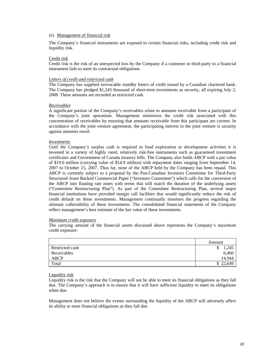### iii) Management of financial risk

The Company's financial instruments are exposed to certain financial risks, including credit risk and liquidity risk.

#### Credit risk

Credit risk is the risk of an unexpected loss by the Company if a customer or third-party to a financial instrument fails to meet its contractual obligations.

### *Letters of credit and restricted cash*

The Company has supplied irrevocable standby letters of credit issued by a Canadian chartered bank. The Company has pledged \$1,245 thousand of short-term investments as security, all expiring July 2, 2008. These amounts are recorded as restricted cash.

#### *Receivables*

A significant portion of the Company's receivables relate to amounts receivable from a participant of the Company's joint operations. Management minimizes the credit risk associated with this concentration of receivables by ensuring that amounts receivable from this participant are current. In accordance with the joint venture agreement, the participating interest in the joint venture is security against amounts owed.

#### *Investments*

Until the Company's surplus cash is required to fund exploration or development activities it is invested in a variety of highly rated, relatively risk-free instruments such as guaranteed investment certificates and Government of Canada treasury bills. The Company also holds ABCP with a par value of \$19.0 million (carrying value of \$14.9 million) with repayment dates ranging from September 14, 2007 to October 15, 2007. Thus far, none of the ABCP held by the Company has been repaid. This ABCP is currently subject to a proposal by the Pan-Canadian Investors Committee for Third-Party Structured Asset Backed Commercial Paper ("Investors Committee") which calls for the conversion of the ABCP into floating rate notes with terms that will match the duration of the underlying assets ("Committee Restructuring Plan"). As part of the Committee Restructuring Plan, several major financial institutions have provided margin call facilities that would significantly reduce the risk of credit default on these investments. Management continually monitors the progress regarding the ultimate collectability of these investments. The consolidated financial statements of the Company reflect management's best estimate of the fair value of these investments.

#### *Maximum credit exposure*

The carrying amount of the financial assets discussed above represents the Company's maximum credit exposure:

|                 | Amount     |
|-----------------|------------|
| Restricted cash | 1,245<br>S |
| Receivables     | 6,460      |
| ABCP            | 14.944     |
| Total           | \$22,649   |

#### Liquidity risk

Liquidity risk is the risk that the Company will not be able to meet its financial obligations as they fall due. The Company's approach is to ensure that it will have sufficient liquidity to meet its obligations when due.

Management does not believe the events surrounding the liquidity of the ABCP will adversely affect its ability to meet financial obligations as they fall due.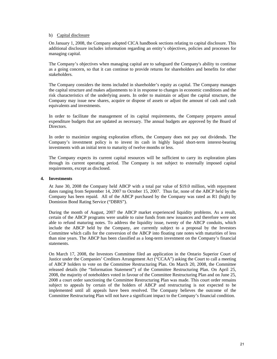### b) Capital disclosure

On January 1, 2008, the Company adopted CICA handbook sections relating to capital disclosure. This additional disclosure includes information regarding an entity's objectives, policies and processes for managing capital.

The Company's objectives when managing capital are to safeguard the Company's ability to continue as a going concern, so that it can continue to provide returns for shareholders and benefits for other stakeholders.

The Company considers the items included in shareholder's equity as capital. The Company manages the capital structure and makes adjustments to it in response to changes in economic conditions and the risk characteristics of the underlying assets. In order to maintain or adjust the capital structure, the Company may issue new shares, acquire or dispose of assets or adjust the amount of cash and cash equivalents and investments.

In order to facilitate the management of its capital requirements, the Company prepares annual expenditure budgets that are updated as necessary. The annual budgets are approved by the Board of Directors.

In order to maximize ongoing exploration efforts, the Company does not pay out dividends. The Company's investment policy is to invest its cash in highly liquid short-term interest-bearing investments with an initial term to maturity of twelve months or less.

The Company expects its current capital resources will be sufficient to carry its exploration plans through its current operating period. The Company is not subject to externally imposed capital requirements, except as disclosed.

### **4. Investments**

At June 30, 2008 the Company held ABCP with a total par value of \$19.0 million, with repayment dates ranging from September 14, 2007 to October 15, 2007. Thus far, none of the ABCP held by the Company has been repaid. All of the ABCP purchased by the Company was rated as R1 (high) by Dominion Bond Rating Service ("DBRS").

During the month of August, 2007 the ABCP market experienced liquidity problems. As a result, certain of the ABCP programs were unable to raise funds from new issuances and therefore were not able to refund maturing notes. To address the liquidity issue, twenty of the ABCP conduits, which include the ABCP held by the Company, are currently subject to a proposal by the Investors Committee which calls for the conversion of the ABCP into floating rate notes with maturities of less than nine years. The ABCP has been classified as a long-term investment on the Company's financial statements.

On March 17, 2008, the Investors Committee filed an application in the Ontario Superior Court of Justice under the Companies' Creditors Arrangement Act ("CCAA") asking the Court to call a meeting of ABCP holders to vote on the Committee Restructuring Plan. On March 20, 2008, the Committee released details (the "Information Statement") of the Committee Restructuring Plan. On April 25, 2008, the majority of noteholders voted in favour of the Committee Restructuring Plan and on June 25, 2008 a court order sanctioning the Committee Restructuring Plan was made. This court order remains subject to appeals by certain of the holders of ABCP and restructuring is not expected to be implemented until all appeals have been resolved. The Company believes the outcome of the Committee Restructuring Plan will not have a significant impact to the Company's financial condition.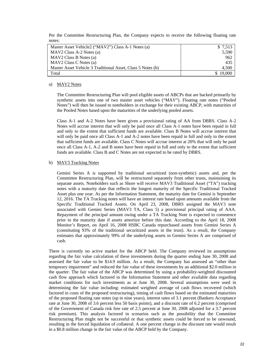Per the Committee Restructuring Plan, the Company expects to receive the following floating rate notes:

| Master Asset Vehicle2 ("MAV2") Class A-1 Notes (a)          | \$ 7,513 |
|-------------------------------------------------------------|----------|
| MAV2 Class A-2 Notes (a)                                    | 5,590    |
| MAV2 Class B Notes (a)                                      | 962      |
| MAV2 Class C Notes (a)                                      | 435      |
| Master Asset Vehicle 3 Traditional Asset, Class 5 Notes (b) | 4,500    |
| Total                                                       | 19,000   |

### a) MAV2 Notes

The Committee Restructuring Plan will pool eligible assets of ABCPs that are backed primarily by synthetic assets into one of two master asset vehicles ("MAV"). Floating rate notes ("Pooled Notes") will then be issued to noteholders in exchange for their existing ABCP, with maturities of the Pooled Notes based upon the maturities of the underlying pooled assets.

Class A-1 and A-2 Notes have been given a provisional rating of AA from DBRS. Class A-2 Notes will accrue interest that will only be paid once all Class A-1 notes have been repaid in full and only to the extent that sufficient funds are available. Class B Notes will accrue interest that will only be paid once all Class A-1 and A-2 notes have been repaid in full and only to the extent that sufficient funds are available. Class C Notes will accrue interest at 20% that will only be paid once all Class A-1, A-2 and B notes have been repaid in full and only to the extent that sufficient funds are available. Class B and C Notes are not expected to be rated by DBRS.

### b) MAV3 Tracking Notes

Gemini Series A is supported by traditional securitized (non-synthetic) assets and, per the Committee Restructuring Plan, will be restructured separately from other trusts, maintaining its separate assets. Noteholders such as Shore will receive MAV3 Traditional Asset ("TA") tracking notes with a maturity date that reflects the longest maturity of the Specific Traditional Tracked Asset plus one year. As per the Information Statement, the maturity date for Gemini is September 12, 2016. The TA Tracking notes will have an interest rate based upon amounts available from the Specific Traditional Tracked Assets. On April 23, 2008, DBRS assigned the MAV3 note associated with Gemini Series (MAV3 TA, Class 5) a provisional principal rating of AAA. Repayment of the principal amount owing under a TA Tracking Note is expected to commence prior to the maturity date if assets amortize before this date. According to the April 18, 2008 Monitor's Report, on April 16, 2008 HSBC Canada repurchased assets from Gemini Series A (constituting 93% of the traditional securitized assets in the trust). As a result, the Company estimates that approximately 99% of the underlying assets in Gemini Series A are comprised of cash.

There is currently no active market for the ABCP held. The Company reviewed its assumptions regarding the fair value calculation of these investments during the quarter ending June 30, 2008 and assessed the fair value to be \$14.9 million. As a result, the Company has assessed an "other than temporary impairment" and reduced the fair value of these investments by an additional \$2.0 million in the quarter. The fair value of the ABCP was determined by using a probability-weighted discounted cash flow approach which factored in the Information Statement and other available data regarding market conditions for such investments as at June 30, 2008. Several assumptions were used in determining the fair value including: estimated weighted average of cash flows recovered (which factored in costs of the proposed restructuring), timing of cash flows based on the estimated maturities of the proposed floating rate notes (up to nine years), interest rates of 3.1 percent (Bankers Acceptance rate at June 30, 2008 of 3.6 percent less 50 basis points), and a discount rate of 6.2 percent (comprised of the Government of Canada risk free rate of 2.5 percent at June 30, 2008 adjusted for a 3.7 percent risk premium). This analysis factored in scenarios such as the possibility that the Committee Restructuring Plan might not be successful or that synthetic assets could be forced to be unwound, resulting in the forced liquidation of collateral. A one percent change in the discount rate would result in a \$0.8 million change in the fair value of the ABCP held by the Company.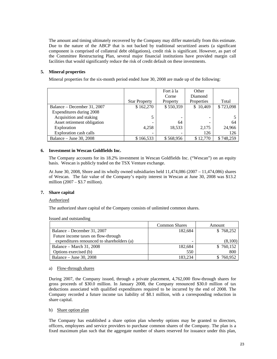The amount and timing ultimately recovered by the Company may differ materially from this estimate. Due to the nature of the ABCP that is not backed by traditional securitized assets (a significant component is comprised of collateral debt obligations), credit risk is significant. However, as part of the Committee Restructuring Plan, several major financial institutions have provided margin call facilities that would significantly reduce the risk of credit default on these investments.

### **5. Mineral properties**

Mineral properties for the six-month period ended June 30, 2008 are made up of the following:

|                             |                      | Fort à la                | Other      |           |
|-----------------------------|----------------------|--------------------------|------------|-----------|
|                             |                      | Corne                    | Diamond    |           |
|                             | <b>Star Property</b> | Property                 | Properties | Total     |
| Balance – December 31, 2007 | \$162,270            | \$550,359                | \$10,469   | \$723,098 |
| Expenditures during 2008    |                      |                          |            |           |
| Acquisition and staking     |                      | -                        |            |           |
| Asset retirement obligation |                      | 64                       |            | 64        |
| Exploration                 | 4,258                | 18,533                   | 2,175      | 24,966    |
| Exploration cash calls      |                      | $\overline{\phantom{0}}$ | 126        | 126       |
| Balance – June 30, 2008     | \$166.533            | \$568,956                | \$12,770   | \$748,259 |

### **6. Investment in Wescan Goldfields Inc.**

The Company accounts for its 18.2% investment in Wescan Goldfields Inc. ("Wescan") on an equity basis. Wescan is publicly traded on the TSX Venture exchange.

At June 30, 2008, Shore and its wholly owned subsidiaries held 11,474,086 (2007 – 11,474,086) shares of Wescan. The fair value of the Company's equity interest in Wescan at June 30, 2008 was \$13.2 million (2007 – \$3.7 million).

### **7. Share capital**

### Authorized

The authorized share capital of the Company consists of unlimited common shares.

|                                            | <b>Common Shares</b> | Amount    |
|--------------------------------------------|----------------------|-----------|
| Balance – December 31, 2007                | 182,684              | \$768,252 |
| Future income taxes on flow-through        |                      |           |
| expenditures renounced to shareholders (a) | -                    | (8,100)   |
| Balance – March 31, 2008                   | 182,684              | \$760,152 |
| Options exercised (b)                      | 550                  | 800       |
| Balance – June 30, 2008                    | 183.234              | 760,952   |

Issued and outstanding

#### a) Flow-through shares

During 2007, the Company issued, through a private placement, 4,762,000 flow-through shares for gross proceeds of \$30.0 million. In January 2008, the Company renounced \$30.0 million of tax deductions associated with qualified expenditures required to be incurred by the end of 2008. The Company recorded a future income tax liability of \$8.1 million, with a corresponding reduction in share capital.

### b) Share option plan

The Company has established a share option plan whereby options may be granted to directors, officers, employees and service providers to purchase common shares of the Company. The plan is a fixed maximum plan such that the aggregate number of shares reserved for issuance under this plan,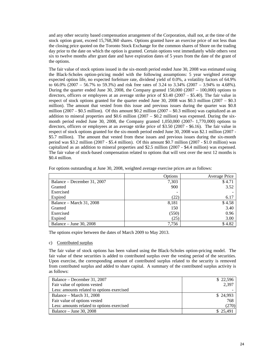and any other security based compensation arrangement of the Corporation, shall not, at the time of the stock option grant, exceed 15,768,360 shares. Options granted have an exercise price of not less than the closing price quoted on the Toronto Stock Exchange for the common shares of Shore on the trading day prior to the date on which the option is granted. Certain options vest immediately while others vest six to twelve months after grant date and have expiration dates of 5 years from the date of the grant of the options.

The fair value of stock options issued in the six-month period ended June 30, 2008 was estimated using the Black-Scholes option-pricing model with the following assumptions: 5 year weighted average expected option life, no expected forfeiture rate, dividend yield of 0.0%, a volatility factors of 64.9% to 66.0% (2007 – 56.7% to 59.3%) and risk free rates of 3.24 to 3.34% (2007 – 3.94% to 4.68%). During the quarter ended June 30, 2008, the Company granted  $150,000$  (2007 – 100,000) options to directors, officers or employees at an average strike price of \$3.40 (2007 – \$5.40). The fair value in respect of stock options granted for the quarter ended June 30, 2008 was \$0.3 million (2007 – \$0.3) million). The amount that vested from this issue and previous issues during the quarter was \$0.8 million (2007 – \$0.5 million). Of this amount \$0.2 million (2007 – \$0.3 million) was capitalized as an addition to mineral properties and  $$0.6$  million (2007 –  $$0.2$  million) was expensed. During the sixmonth period ended June 30, 2008, the Company granted 1,050,000 (2007- 1,770,000) options to directors, officers or employees at an average strike price of \$3.50 (2007 - \$6.16). The fair value in respect of stock options granted for the six-month period ended June 30, 2008 was \$2.1 million (2007 - \$5.7 million). The amount that vested from these issues and previous issues during the six-month period was \$3.2 million (2007 - \$5.4 million). Of this amount \$0.7 million (2007 - \$1.0 million) was capitalized as an addition to mineral properties and \$2.5 million (2007 - \$4.4 million) was expensed. The fair value of stock-based compensation related to options that will vest over the next 12 months is \$0.4 million.

|                             | Options | Average Price |
|-----------------------------|---------|---------------|
| Balance – December 31, 2007 | 7,303   | \$4.71        |
| Granted                     | 900     | 3.52          |
| Exercised                   |         |               |
| Expired                     | (22)    | 6.17          |
| Balance – March 31, 2008    | 8,181   | \$4.58        |
| Granted                     | 150     | 3.40          |
| Exercised                   | (550)   | 0.96          |
| Expired                     | (25)    | 3.00          |
| Balance – June 30, 2008     | 7,756   | \$4.82        |

For options outstanding at June 30, 2008, weighted average exercise prices are as follows:

The options expire between the dates of March 2009 to May 2013.

### c) Contributed surplus

The fair value of stock options has been valued using the Black-Scholes option-pricing model. The fair value of these securities is added to contributed surplus over the vesting period of the securities. Upon exercise, the corresponding amount of contributed surplus related to the security is removed from contributed surplus and added to share capital. A summary of the contributed surplus activity is as follows:

| Balance – December 31, 2007                | \$22,596 |
|--------------------------------------------|----------|
| Fair value of options vested               | 2.397    |
| Less: amounts related to options exercised |          |
| Balance – March 31, 2008                   | \$24,993 |
| Fair value of options vested               | 768      |
| Less: amounts related to options exercised | (270)    |
| Balance – June 30, 2008                    | \$25,491 |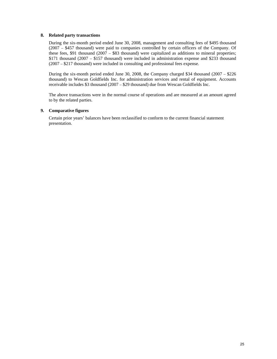### **8. Related party transactions**

During the six-month period ended June 30, 2008, management and consulting fees of \$495 thousand (2007 – \$457 thousand) were paid to companies controlled by certain officers of the Company. Of these fees, \$91 thousand (2007 – \$83 thousand) were capitalized as additions to mineral properties; \$171 thousand (2007 – \$157 thousand) were included in administration expense and \$233 thousand (2007 – \$217 thousand) were included in consulting and professional fees expense.

During the six-month period ended June 30, 2008, the Company charged \$34 thousand (2007 – \$226 thousand) to Wescan Goldfields Inc. for administration services and rental of equipment. Accounts receivable includes \$3 thousand (2007 – \$29 thousand) due from Wescan Goldfields Inc.

The above transactions were in the normal course of operations and are measured at an amount agreed to by the related parties.

### **9. Comparative figures**

Certain prior years' balances have been reclassified to conform to the current financial statement presentation.